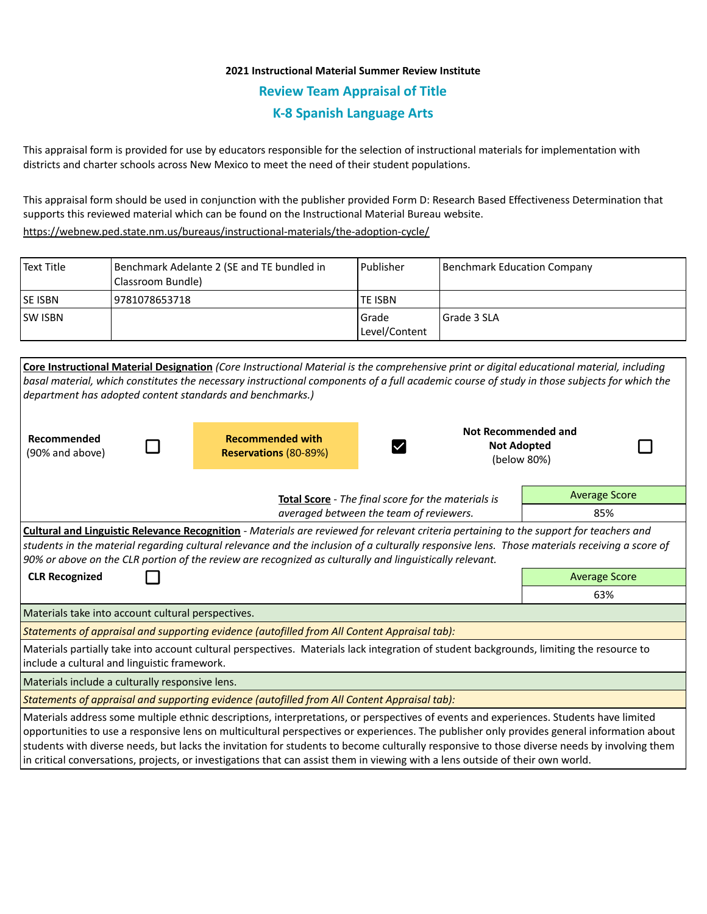## **2021 Instructional Material Summer Review Institute Review Team Appraisal of Title K-8 Spanish Language Arts**

This appraisal form is provided for use by educators responsible for the selection of instructional materials for implementation with districts and charter schools across New Mexico to meet the need of their student populations.

This appraisal form should be used in conjunction with the publisher provided Form D: Research Based Effectiveness Determination that supports this reviewed material which can be found on the Instructional Material Bureau website.

<https://webnew.ped.state.nm.us/bureaus/instructional-materials/the-adoption-cycle/>

| l Text Title | Benchmark Adelante 2 (SE and TE bundled in<br><b>I Classroom Bundle)</b> | l Publisher              | Benchmark Education Company |
|--------------|--------------------------------------------------------------------------|--------------------------|-----------------------------|
| lse isbn     | 19781078653718                                                           | <b>TE ISBN</b>           |                             |
| lsw Isbn     |                                                                          | l Grade<br>Level/Content | l Grade 3 SLA               |

|                                                                                                                                                                                                                                                                                                                                                                                                            | Core Instructional Material Designation (Core Instructional Material is the comprehensive print or digital educational material, including                                                                                                                                                                                                                                                                                                                                                                                                                            |                                                                  |             |  |  |  |
|------------------------------------------------------------------------------------------------------------------------------------------------------------------------------------------------------------------------------------------------------------------------------------------------------------------------------------------------------------------------------------------------------------|-----------------------------------------------------------------------------------------------------------------------------------------------------------------------------------------------------------------------------------------------------------------------------------------------------------------------------------------------------------------------------------------------------------------------------------------------------------------------------------------------------------------------------------------------------------------------|------------------------------------------------------------------|-------------|--|--|--|
|                                                                                                                                                                                                                                                                                                                                                                                                            | basal material, which constitutes the necessary instructional components of a full academic course of study in those subjects for which the                                                                                                                                                                                                                                                                                                                                                                                                                           |                                                                  |             |  |  |  |
| department has adopted content standards and benchmarks.)                                                                                                                                                                                                                                                                                                                                                  |                                                                                                                                                                                                                                                                                                                                                                                                                                                                                                                                                                       |                                                                  |             |  |  |  |
| Recommended<br>(90% and above)                                                                                                                                                                                                                                                                                                                                                                             | <b>Recommended with</b><br><b>Reservations (80-89%)</b>                                                                                                                                                                                                                                                                                                                                                                                                                                                                                                               | <b>Not Recommended and</b><br><b>Not Adopted</b><br>$\checkmark$ | (below 80%) |  |  |  |
|                                                                                                                                                                                                                                                                                                                                                                                                            | Total Score - The final score for the materials is                                                                                                                                                                                                                                                                                                                                                                                                                                                                                                                    | <b>Average Score</b>                                             |             |  |  |  |
| averaged between the team of reviewers.                                                                                                                                                                                                                                                                                                                                                                    |                                                                                                                                                                                                                                                                                                                                                                                                                                                                                                                                                                       |                                                                  | 85%         |  |  |  |
| <b>Cultural and Linguistic Relevance Recognition</b> - Materials are reviewed for relevant criteria pertaining to the support for teachers and<br>students in the material regarding cultural relevance and the inclusion of a culturally responsive lens. Those materials receiving a score of<br>90% or above on the CLR portion of the review are recognized as culturally and linguistically relevant. |                                                                                                                                                                                                                                                                                                                                                                                                                                                                                                                                                                       |                                                                  |             |  |  |  |
| <b>CLR Recognized</b>                                                                                                                                                                                                                                                                                                                                                                                      | <b>Average Score</b>                                                                                                                                                                                                                                                                                                                                                                                                                                                                                                                                                  |                                                                  |             |  |  |  |
|                                                                                                                                                                                                                                                                                                                                                                                                            | 63%                                                                                                                                                                                                                                                                                                                                                                                                                                                                                                                                                                   |                                                                  |             |  |  |  |
| Materials take into account cultural perspectives.                                                                                                                                                                                                                                                                                                                                                         |                                                                                                                                                                                                                                                                                                                                                                                                                                                                                                                                                                       |                                                                  |             |  |  |  |
| Statements of appraisal and supporting evidence (autofilled from All Content Appraisal tab):                                                                                                                                                                                                                                                                                                               |                                                                                                                                                                                                                                                                                                                                                                                                                                                                                                                                                                       |                                                                  |             |  |  |  |
| include a cultural and linguistic framework.                                                                                                                                                                                                                                                                                                                                                               | Materials partially take into account cultural perspectives. Materials lack integration of student backgrounds, limiting the resource to                                                                                                                                                                                                                                                                                                                                                                                                                              |                                                                  |             |  |  |  |
| Materials include a culturally responsive lens.                                                                                                                                                                                                                                                                                                                                                            |                                                                                                                                                                                                                                                                                                                                                                                                                                                                                                                                                                       |                                                                  |             |  |  |  |
|                                                                                                                                                                                                                                                                                                                                                                                                            | Statements of appraisal and supporting evidence (autofilled from All Content Appraisal tab):                                                                                                                                                                                                                                                                                                                                                                                                                                                                          |                                                                  |             |  |  |  |
|                                                                                                                                                                                                                                                                                                                                                                                                            | Materials address some multiple ethnic descriptions, interpretations, or perspectives of events and experiences. Students have limited<br>opportunities to use a responsive lens on multicultural perspectives or experiences. The publisher only provides general information about<br>students with diverse needs, but lacks the invitation for students to become culturally responsive to those diverse needs by involving them<br>in critical conversations, projects, or investigations that can assist them in viewing with a lens outside of their own world. |                                                                  |             |  |  |  |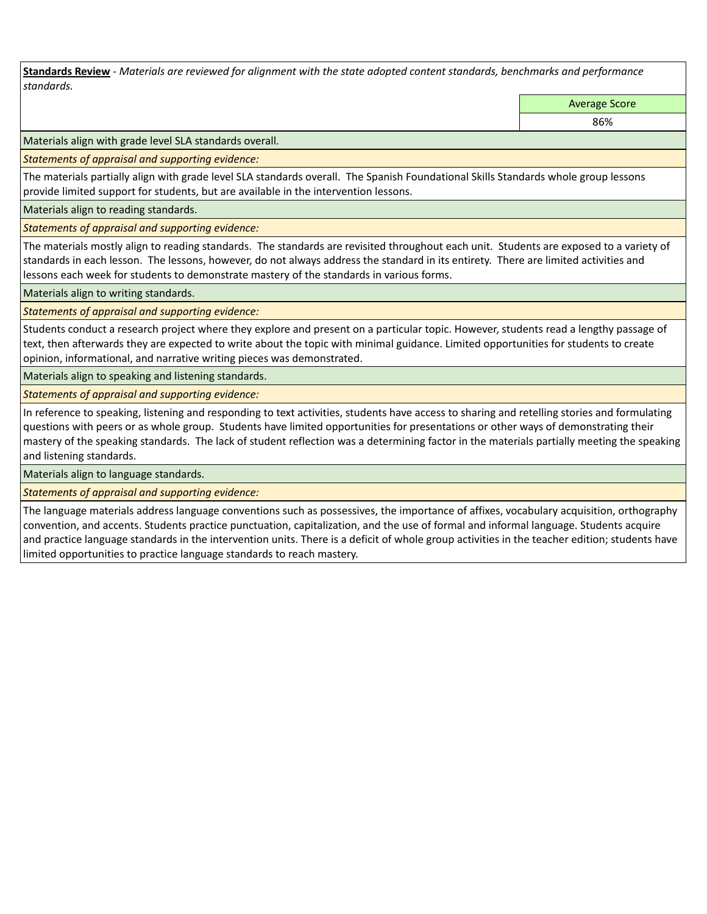**Standards Review** *- Materials are reviewed for alignment with the state adopted content standards, benchmarks and performance standards.*

Average Score

86%

Materials align with grade level SLA standards overall.

*Statements of appraisal and supporting evidence:* 

The materials partially align with grade level SLA standards overall. The Spanish Foundational Skills Standards whole group lessons provide limited support for students, but are available in the intervention lessons.

Materials align to reading standards.

*Statements of appraisal and supporting evidence:* 

The materials mostly align to reading standards. The standards are revisited throughout each unit. Students are exposed to a variety of standards in each lesson. The lessons, however, do not always address the standard in its entirety. There are limited activities and lessons each week for students to demonstrate mastery of the standards in various forms.

Materials align to writing standards.

*Statements of appraisal and supporting evidence:* 

Students conduct a research project where they explore and present on a particular topic. However, students read a lengthy passage of text, then afterwards they are expected to write about the topic with minimal guidance. Limited opportunities for students to create opinion, informational, and narrative writing pieces was demonstrated.

Materials align to speaking and listening standards.

*Statements of appraisal and supporting evidence:* 

In reference to speaking, listening and responding to text activities, students have access to sharing and retelling stories and formulating questions with peers or as whole group. Students have limited opportunities for presentations or other ways of demonstrating their mastery of the speaking standards. The lack of student reflection was a determining factor in the materials partially meeting the speaking and listening standards.

Materials align to language standards.

*Statements of appraisal and supporting evidence:* 

The language materials address language conventions such as possessives, the importance of affixes, vocabulary acquisition, orthography convention, and accents. Students practice punctuation, capitalization, and the use of formal and informal language. Students acquire and practice language standards in the intervention units. There is a deficit of whole group activities in the teacher edition; students have limited opportunities to practice language standards to reach mastery.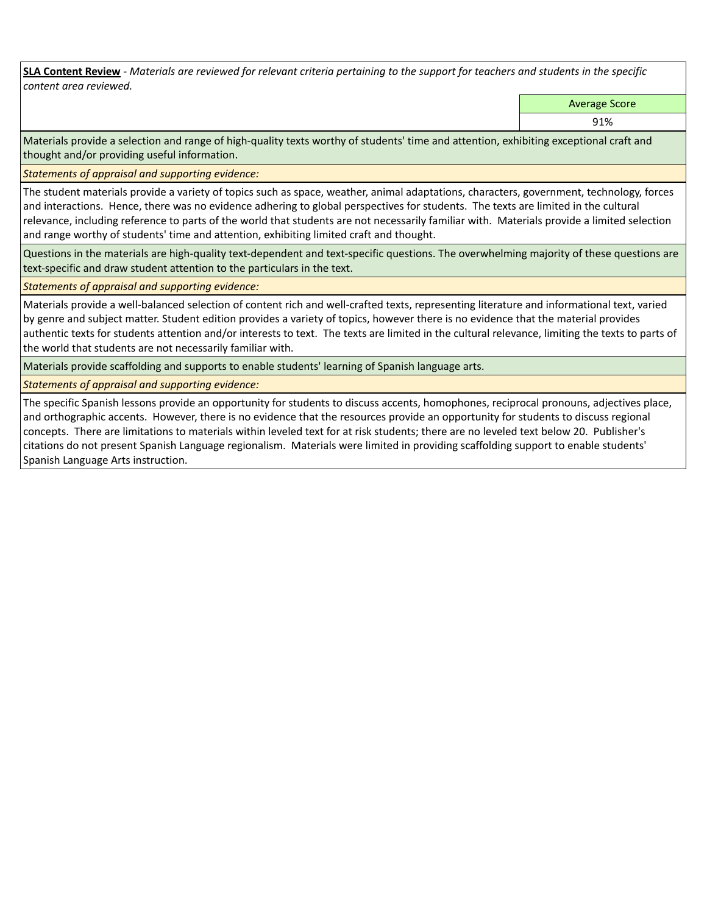**SLA Content Review** *- Materials are reviewed for relevant criteria pertaining to the support for teachers and students in the specific content area reviewed.*

Average Score

91%

Materials provide a selection and range of high-quality texts worthy of students' time and attention, exhibiting exceptional craft and thought and/or providing useful information.

*Statements of appraisal and supporting evidence:* 

The student materials provide a variety of topics such as space, weather, animal adaptations, characters, government, technology, forces and interactions. Hence, there was no evidence adhering to global perspectives for students. The texts are limited in the cultural relevance, including reference to parts of the world that students are not necessarily familiar with. Materials provide a limited selection and range worthy of students' time and attention, exhibiting limited craft and thought.

Questions in the materials are high-quality text-dependent and text-specific questions. The overwhelming majority of these questions are text-specific and draw student attention to the particulars in the text.

*Statements of appraisal and supporting evidence:* 

Materials provide a well-balanced selection of content rich and well-crafted texts, representing literature and informational text, varied by genre and subject matter. Student edition provides a variety of topics, however there is no evidence that the material provides authentic texts for students attention and/or interests to text. The texts are limited in the cultural relevance, limiting the texts to parts of the world that students are not necessarily familiar with.

Materials provide scaffolding and supports to enable students' learning of Spanish language arts.

*Statements of appraisal and supporting evidence:* 

The specific Spanish lessons provide an opportunity for students to discuss accents, homophones, reciprocal pronouns, adjectives place, and orthographic accents. However, there is no evidence that the resources provide an opportunity for students to discuss regional concepts. There are limitations to materials within leveled text for at risk students; there are no leveled text below 20. Publisher's citations do not present Spanish Language regionalism. Materials were limited in providing scaffolding support to enable students' Spanish Language Arts instruction.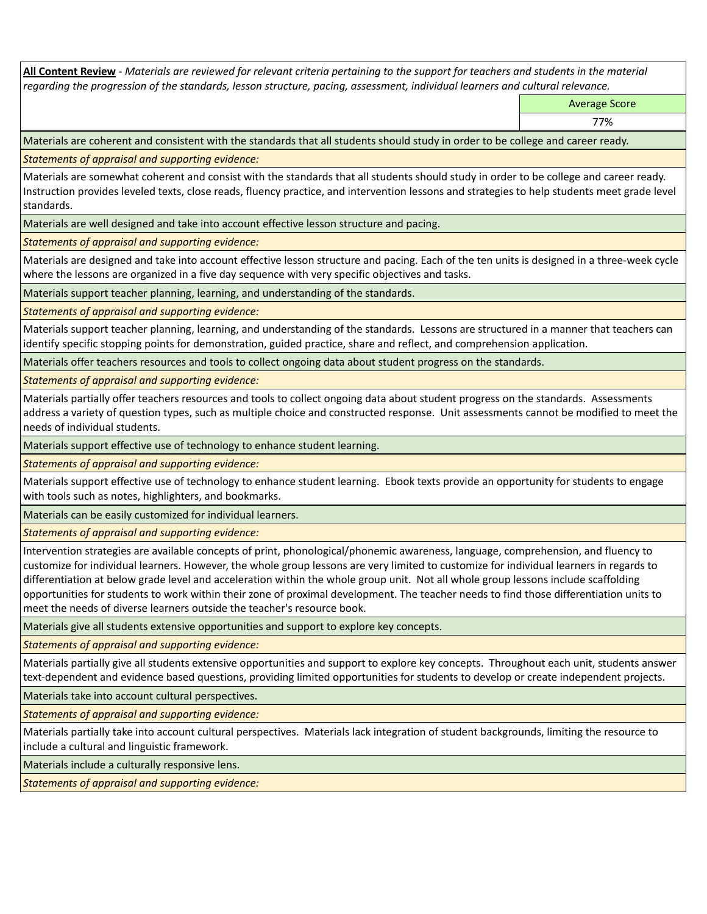**All Content Review** *- Materials are reviewed for relevant criteria pertaining to the support for teachers and students in the material regarding the progression of the standards, lesson structure, pacing, assessment, individual learners and cultural relevance.*

Average Score

77%

Materials are coherent and consistent with the standards that all students should study in order to be college and career ready.

*Statements of appraisal and supporting evidence:*

Materials are somewhat coherent and consist with the standards that all students should study in order to be college and career ready. Instruction provides leveled texts, close reads, fluency practice, and intervention lessons and strategies to help students meet grade level standards.

Materials are well designed and take into account effective lesson structure and pacing.

*Statements of appraisal and supporting evidence:*

Materials are designed and take into account effective lesson structure and pacing. Each of the ten units is designed in a three-week cycle where the lessons are organized in a five day sequence with very specific objectives and tasks.

Materials support teacher planning, learning, and understanding of the standards.

*Statements of appraisal and supporting evidence:*

Materials support teacher planning, learning, and understanding of the standards. Lessons are structured in a manner that teachers can identify specific stopping points for demonstration, guided practice, share and reflect, and comprehension application.

Materials offer teachers resources and tools to collect ongoing data about student progress on the standards.

*Statements of appraisal and supporting evidence:*

Materials partially offer teachers resources and tools to collect ongoing data about student progress on the standards. Assessments address a variety of question types, such as multiple choice and constructed response. Unit assessments cannot be modified to meet the needs of individual students.

Materials support effective use of technology to enhance student learning.

*Statements of appraisal and supporting evidence:*

Materials support effective use of technology to enhance student learning. Ebook texts provide an opportunity for students to engage with tools such as notes, highlighters, and bookmarks.

Materials can be easily customized for individual learners.

*Statements of appraisal and supporting evidence:* 

Intervention strategies are available concepts of print, phonological/phonemic awareness, language, comprehension, and fluency to customize for individual learners. However, the whole group lessons are very limited to customize for individual learners in regards to differentiation at below grade level and acceleration within the whole group unit. Not all whole group lessons include scaffolding opportunities for students to work within their zone of proximal development. The teacher needs to find those differentiation units to meet the needs of diverse learners outside the teacher's resource book.

Materials give all students extensive opportunities and support to explore key concepts.

*Statements of appraisal and supporting evidence:*

Materials partially give all students extensive opportunities and support to explore key concepts. Throughout each unit, students answer text-dependent and evidence based questions, providing limited opportunities for students to develop or create independent projects.

Materials take into account cultural perspectives.

*Statements of appraisal and supporting evidence:*

Materials partially take into account cultural perspectives. Materials lack integration of student backgrounds, limiting the resource to include a cultural and linguistic framework.

Materials include a culturally responsive lens.

*Statements of appraisal and supporting evidence:*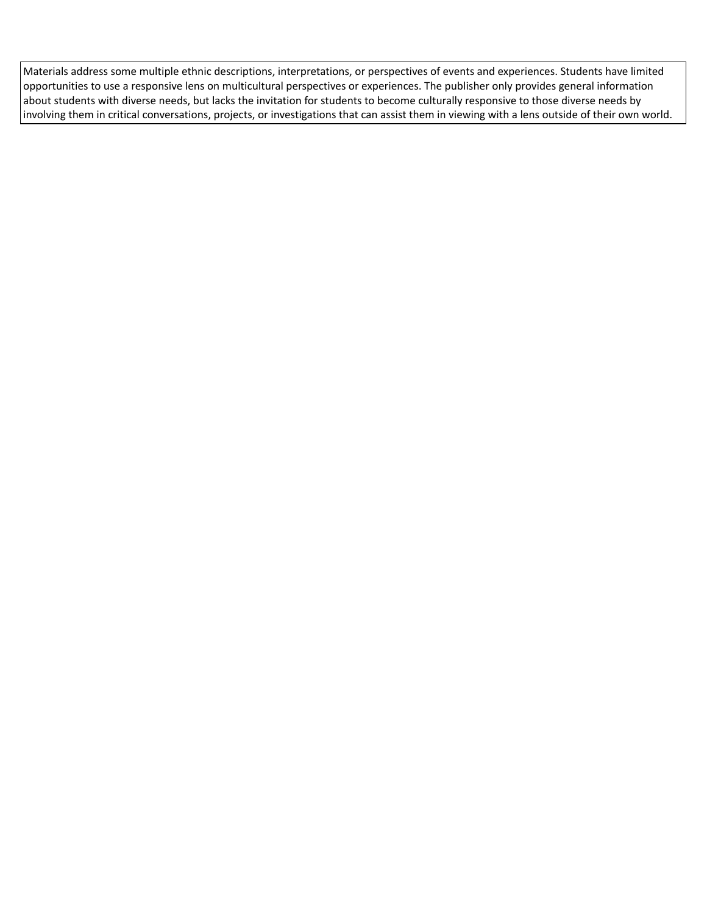Materials address some multiple ethnic descriptions, interpretations, or perspectives of events and experiences. Students have limited opportunities to use a responsive lens on multicultural perspectives or experiences. The publisher only provides general information about students with diverse needs, but lacks the invitation for students to become culturally responsive to those diverse needs by involving them in critical conversations, projects, or investigations that can assist them in viewing with a lens outside of their own world.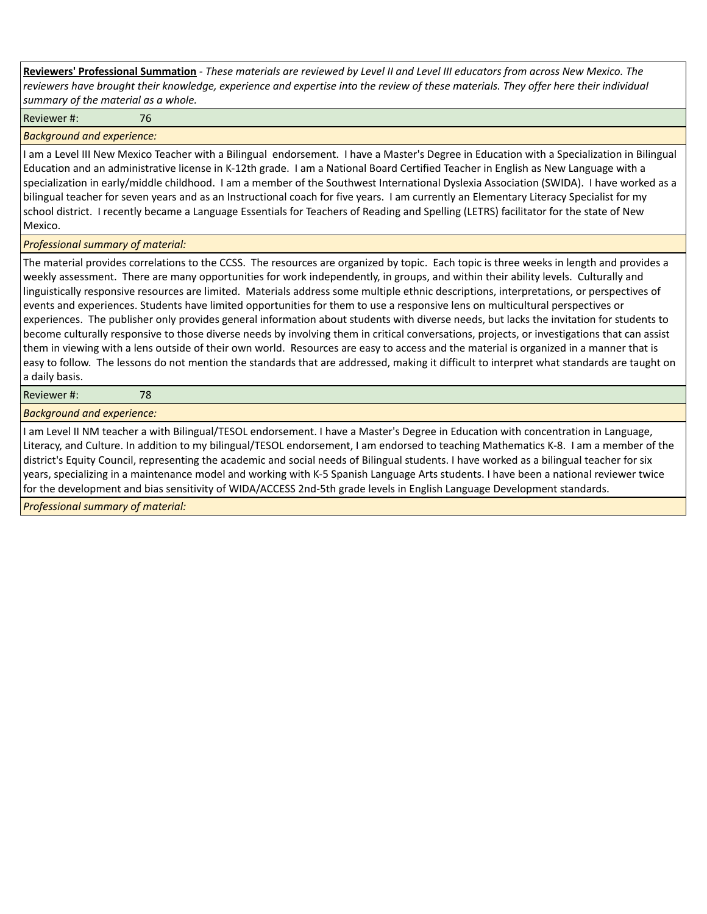| Reviewers' Professional Summation - These materials are reviewed by Level II and Level III educators from across New Mexico. The      |
|---------------------------------------------------------------------------------------------------------------------------------------|
| reviewers have brought their knowledge, experience and expertise into the review of these materials. They offer here their individual |
| summary of the material as a whole.                                                                                                   |

Reviewer #: 76

*Background and experience:*

I am a Level III New Mexico Teacher with a Bilingual endorsement. I have a Master's Degree in Education with a Specialization in Bilingual Education and an administrative license in K-12th grade. I am a National Board Certified Teacher in English as New Language with a specialization in early/middle childhood. I am a member of the Southwest International Dyslexia Association (SWIDA). I have worked as a bilingual teacher for seven years and as an Instructional coach for five years. I am currently an Elementary Literacy Specialist for my school district. I recently became a Language Essentials for Teachers of Reading and Spelling (LETRS) facilitator for the state of New Mexico.

## *Professional summary of material:*

The material provides correlations to the CCSS. The resources are organized by topic. Each topic is three weeks in length and provides a weekly assessment. There are many opportunities for work independently, in groups, and within their ability levels. Culturally and linguistically responsive resources are limited. Materials address some multiple ethnic descriptions, interpretations, or perspectives of events and experiences. Students have limited opportunities for them to use a responsive lens on multicultural perspectives or experiences. The publisher only provides general information about students with diverse needs, but lacks the invitation for students to become culturally responsive to those diverse needs by involving them in critical conversations, projects, or investigations that can assist them in viewing with a lens outside of their own world. Resources are easy to access and the material is organized in a manner that is easy to follow. The lessons do not mention the standards that are addressed, making it difficult to interpret what standards are taught on a daily basis.

Reviewer #: 78

*Background and experience:*

I am Level II NM teacher a with Bilingual/TESOL endorsement. I have a Master's Degree in Education with concentration in Language, Literacy, and Culture. In addition to my bilingual/TESOL endorsement, I am endorsed to teaching Mathematics K-8. I am a member of the district's Equity Council, representing the academic and social needs of Bilingual students. I have worked as a bilingual teacher for six years, specializing in a maintenance model and working with K-5 Spanish Language Arts students. I have been a national reviewer twice for the development and bias sensitivity of WIDA/ACCESS 2nd-5th grade levels in English Language Development standards.

*Professional summary of material:*